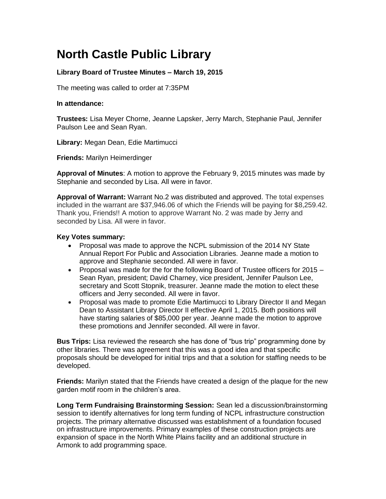## **North Castle Public Library**

## **Library Board of Trustee Minutes – March 19, 2015**

The meeting was called to order at 7:35PM

## **In attendance:**

**Trustees:** Lisa Meyer Chorne, Jeanne Lapsker, Jerry March, Stephanie Paul, Jennifer Paulson Lee and Sean Ryan.

**Library:** Megan Dean, Edie Martimucci

**Friends:** Marilyn Heimerdinger

**Approval of Minutes**: A motion to approve the February 9, 2015 minutes was made by Stephanie and seconded by Lisa. All were in favor.

**Approval of Warrant:** Warrant No.2 was distributed and approved. The total expenses included in the warrant are \$37,946.06 of which the Friends will be paying for \$8,259.42. Thank you, Friends!! A motion to approve Warrant No. 2 was made by Jerry and seconded by Lisa. All were in favor.

## **Key Votes summary:**

- Proposal was made to approve the NCPL submission of the 2014 NY State Annual Report For Public and Association Libraries. Jeanne made a motion to approve and Stephanie seconded. All were in favor.
- Proposal was made for the for the following Board of Trustee officers for  $2015 -$ Sean Ryan, president; David Charney, vice president, Jennifer Paulson Lee, secretary and Scott Stopnik, treasurer. Jeanne made the motion to elect these officers and Jerry seconded. All were in favor.
- Proposal was made to promote Edie Martimucci to Library Director II and Megan Dean to Assistant Library Director II effective April 1, 2015. Both positions will have starting salaries of \$85,000 per year. Jeanne made the motion to approve these promotions and Jennifer seconded. All were in favor.

**Bus Trips:** Lisa reviewed the research she has done of "bus trip" programming done by other libraries. There was agreement that this was a good idea and that specific proposals should be developed for initial trips and that a solution for staffing needs to be developed.

**Friends:** Marilyn stated that the Friends have created a design of the plaque for the new garden motif room in the children's area.

**Long Term Fundraising Brainstorming Session:** Sean led a discussion/brainstorming session to identify alternatives for long term funding of NCPL infrastructure construction projects. The primary alternative discussed was establishment of a foundation focused on infrastructure improvements. Primary examples of these construction projects are expansion of space in the North White Plains facility and an additional structure in Armonk to add programming space.